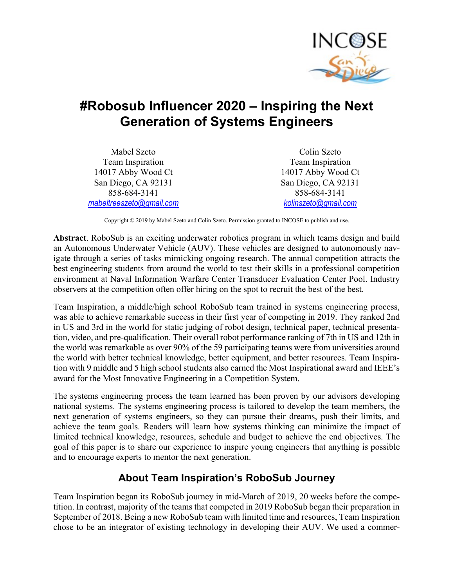

# #Robosub Influencer 2020 – Inspiring the Next Generation of Systems Engineers

Mabel Szeto Team Inspiration 14017 Abby Wood Ct San Diego, CA 92131 858-684-3141 mabeltreeszeto@gmail.com

Colin Szeto Team Inspiration 14017 Abby Wood Ct San Diego, CA 92131 858-684-3141 kolinszeto@gmail.com

Copyright © 2019 by Mabel Szeto and Colin Szeto. Permission granted to INCOSE to publish and use.

Abstract. RoboSub is an exciting underwater robotics program in which teams design and build an Autonomous Underwater Vehicle (AUV). These vehicles are designed to autonomously navigate through a series of tasks mimicking ongoing research. The annual competition attracts the best engineering students from around the world to test their skills in a professional competition environment at Naval Information Warfare Center Transducer Evaluation Center Pool. Industry observers at the competition often offer hiring on the spot to recruit the best of the best.

Team Inspiration, a middle/high school RoboSub team trained in systems engineering process, was able to achieve remarkable success in their first year of competing in 2019. They ranked 2nd in US and 3rd in the world for static judging of robot design, technical paper, technical presentation, video, and pre-qualification. Their overall robot performance ranking of 7th in US and 12th in the world was remarkable as over 90% of the 59 participating teams were from universities around the world with better technical knowledge, better equipment, and better resources. Team Inspiration with 9 middle and 5 high school students also earned the Most Inspirational award and IEEE's award for the Most Innovative Engineering in a Competition System.

The systems engineering process the team learned has been proven by our advisors developing national systems. The systems engineering process is tailored to develop the team members, the next generation of systems engineers, so they can pursue their dreams, push their limits, and achieve the team goals. Readers will learn how systems thinking can minimize the impact of limited technical knowledge, resources, schedule and budget to achieve the end objectives. The goal of this paper is to share our experience to inspire young engineers that anything is possible and to encourage experts to mentor the next generation.

#### About Team Inspiration's RoboSub Journey

Team Inspiration began its RoboSub journey in mid-March of 2019, 20 weeks before the competition. In contrast, majority of the teams that competed in 2019 RoboSub began their preparation in September of 2018. Being a new RoboSub team with limited time and resources, Team Inspiration chose to be an integrator of existing technology in developing their AUV. We used a commer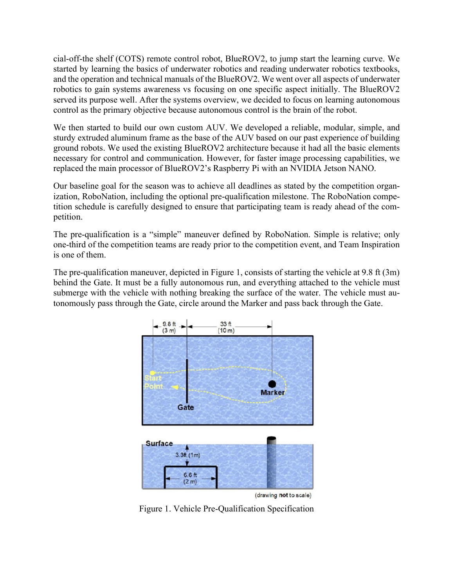cial-off-the shelf (COTS) remote control robot, BlueROV2, to jump start the learning curve. We started by learning the basics of underwater robotics and reading underwater robotics textbooks, and the operation and technical manuals of the BlueROV2. We went over all aspects of underwater robotics to gain systems awareness vs focusing on one specific aspect initially. The BlueROV2 served its purpose well. After the systems overview, we decided to focus on learning autonomous control as the primary objective because autonomous control is the brain of the robot.

We then started to build our own custom AUV. We developed a reliable, modular, simple, and sturdy extruded aluminum frame as the base of the AUV based on our past experience of building ground robots. We used the existing BlueROV2 architecture because it had all the basic elements necessary for control and communication. However, for faster image processing capabilities, we replaced the main processor of BlueROV2's Raspberry Pi with an NVIDIA Jetson NANO.

Our baseline goal for the season was to achieve all deadlines as stated by the competition organization, RoboNation, including the optional pre-qualification milestone. The RoboNation competition schedule is carefully designed to ensure that participating team is ready ahead of the competition.

The pre-qualification is a "simple" maneuver defined by RoboNation. Simple is relative; only one-third of the competition teams are ready prior to the competition event, and Team Inspiration is one of them.

The pre-qualification maneuver, depicted in Figure 1, consists of starting the vehicle at 9.8 ft (3m) behind the Gate. It must be a fully autonomous run, and everything attached to the vehicle must submerge with the vehicle with nothing breaking the surface of the water. The vehicle must autonomously pass through the Gate, circle around the Marker and pass back through the Gate.



Figure 1. Vehicle Pre-Qualification Specification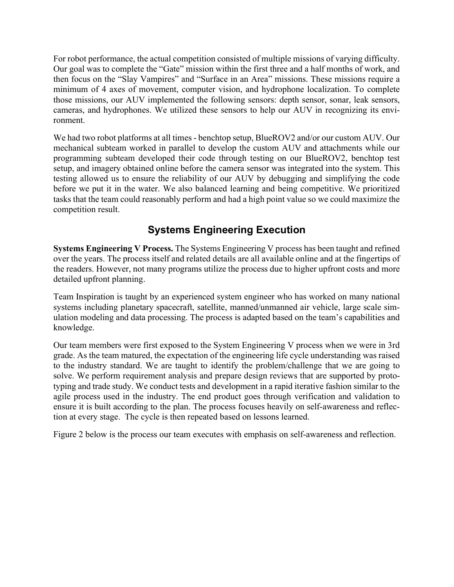For robot performance, the actual competition consisted of multiple missions of varying difficulty. Our goal was to complete the "Gate" mission within the first three and a half months of work, and then focus on the "Slay Vampires" and "Surface in an Area" missions. These missions require a minimum of 4 axes of movement, computer vision, and hydrophone localization. To complete those missions, our AUV implemented the following sensors: depth sensor, sonar, leak sensors, cameras, and hydrophones. We utilized these sensors to help our AUV in recognizing its environment.

We had two robot platforms at all times - benchtop setup, BlueROV2 and/or our custom AUV. Our mechanical subteam worked in parallel to develop the custom AUV and attachments while our programming subteam developed their code through testing on our BlueROV2, benchtop test setup, and imagery obtained online before the camera sensor was integrated into the system. This testing allowed us to ensure the reliability of our AUV by debugging and simplifying the code before we put it in the water. We also balanced learning and being competitive. We prioritized tasks that the team could reasonably perform and had a high point value so we could maximize the competition result.

## Systems Engineering Execution

Systems Engineering V Process. The Systems Engineering V process has been taught and refined over the years. The process itself and related details are all available online and at the fingertips of the readers. However, not many programs utilize the process due to higher upfront costs and more detailed upfront planning.

Team Inspiration is taught by an experienced system engineer who has worked on many national systems including planetary spacecraft, satellite, manned/unmanned air vehicle, large scale simulation modeling and data processing. The process is adapted based on the team's capabilities and knowledge.

Our team members were first exposed to the System Engineering V process when we were in 3rd grade. As the team matured, the expectation of the engineering life cycle understanding was raised to the industry standard. We are taught to identify the problem/challenge that we are going to solve. We perform requirement analysis and prepare design reviews that are supported by prototyping and trade study. We conduct tests and development in a rapid iterative fashion similar to the agile process used in the industry. The end product goes through verification and validation to ensure it is built according to the plan. The process focuses heavily on self-awareness and reflection at every stage. The cycle is then repeated based on lessons learned.

Figure 2 below is the process our team executes with emphasis on self-awareness and reflection.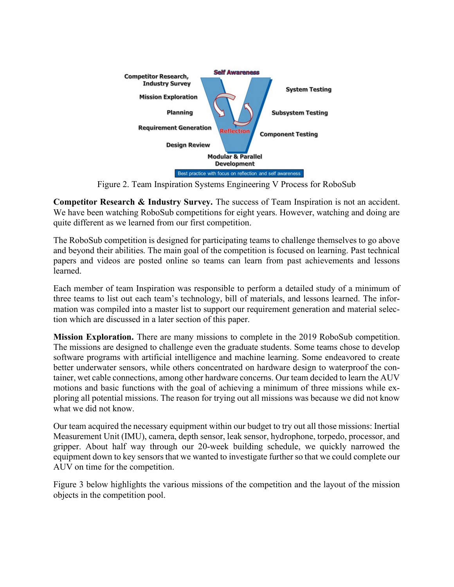

Figure 2. Team Inspiration Systems Engineering V Process for RoboSub

Competitor Research & Industry Survey. The success of Team Inspiration is not an accident. We have been watching RoboSub competitions for eight years. However, watching and doing are quite different as we learned from our first competition.

The RoboSub competition is designed for participating teams to challenge themselves to go above and beyond their abilities. The main goal of the competition is focused on learning. Past technical papers and videos are posted online so teams can learn from past achievements and lessons learned.

Each member of team Inspiration was responsible to perform a detailed study of a minimum of three teams to list out each team's technology, bill of materials, and lessons learned. The information was compiled into a master list to support our requirement generation and material selection which are discussed in a later section of this paper.

Mission Exploration. There are many missions to complete in the 2019 RoboSub competition. The missions are designed to challenge even the graduate students. Some teams chose to develop software programs with artificial intelligence and machine learning. Some endeavored to create better underwater sensors, while others concentrated on hardware design to waterproof the container, wet cable connections, among other hardware concerns. Our team decided to learn the AUV motions and basic functions with the goal of achieving a minimum of three missions while exploring all potential missions. The reason for trying out all missions was because we did not know what we did not know.

Our team acquired the necessary equipment within our budget to try out all those missions: Inertial Measurement Unit (IMU), camera, depth sensor, leak sensor, hydrophone, torpedo, processor, and gripper. About half way through our 20-week building schedule, we quickly narrowed the equipment down to key sensors that we wanted to investigate further so that we could complete our AUV on time for the competition.

Figure 3 below highlights the various missions of the competition and the layout of the mission objects in the competition pool.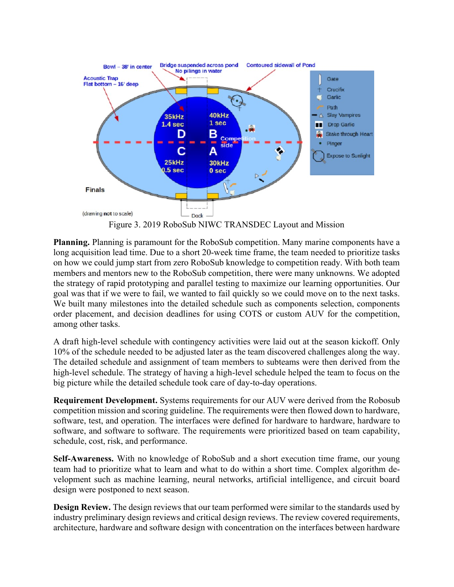

Figure 3. 2019 RoboSub NIWC TRANSDEC Layout and Mission

Planning. Planning is paramount for the RoboSub competition. Many marine components have a long acquisition lead time. Due to a short 20-week time frame, the team needed to prioritize tasks on how we could jump start from zero RoboSub knowledge to competition ready. With both team members and mentors new to the RoboSub competition, there were many unknowns. We adopted the strategy of rapid prototyping and parallel testing to maximize our learning opportunities. Our goal was that if we were to fail, we wanted to fail quickly so we could move on to the next tasks. We built many milestones into the detailed schedule such as components selection, components order placement, and decision deadlines for using COTS or custom AUV for the competition, among other tasks.

A draft high-level schedule with contingency activities were laid out at the season kickoff. Only 10% of the schedule needed to be adjusted later as the team discovered challenges along the way. The detailed schedule and assignment of team members to subteams were then derived from the high-level schedule. The strategy of having a high-level schedule helped the team to focus on the big picture while the detailed schedule took care of day-to-day operations.

Requirement Development. Systems requirements for our AUV were derived from the Robosub competition mission and scoring guideline. The requirements were then flowed down to hardware, software, test, and operation. The interfaces were defined for hardware to hardware, hardware to software, and software to software. The requirements were prioritized based on team capability, schedule, cost, risk, and performance.

Self-Awareness. With no knowledge of RoboSub and a short execution time frame, our young team had to prioritize what to learn and what to do within a short time. Complex algorithm development such as machine learning, neural networks, artificial intelligence, and circuit board design were postponed to next season.

Design Review. The design reviews that our team performed were similar to the standards used by industry preliminary design reviews and critical design reviews. The review covered requirements, architecture, hardware and software design with concentration on the interfaces between hardware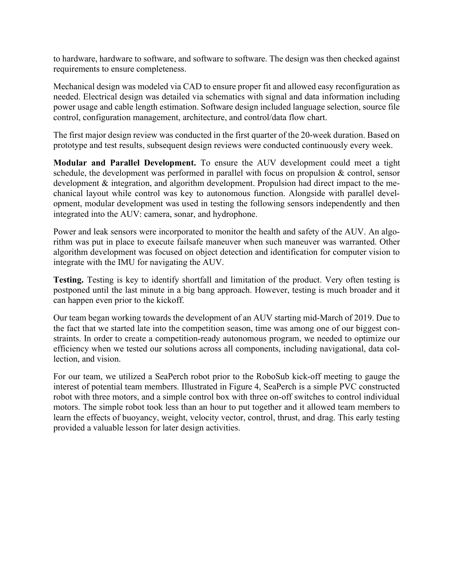to hardware, hardware to software, and software to software. The design was then checked against requirements to ensure completeness.

Mechanical design was modeled via CAD to ensure proper fit and allowed easy reconfiguration as needed. Electrical design was detailed via schematics with signal and data information including power usage and cable length estimation. Software design included language selection, source file control, configuration management, architecture, and control/data flow chart.

The first major design review was conducted in the first quarter of the 20-week duration. Based on prototype and test results, subsequent design reviews were conducted continuously every week.

Modular and Parallel Development. To ensure the AUV development could meet a tight schedule, the development was performed in parallel with focus on propulsion & control, sensor development & integration, and algorithm development. Propulsion had direct impact to the mechanical layout while control was key to autonomous function. Alongside with parallel development, modular development was used in testing the following sensors independently and then integrated into the AUV: camera, sonar, and hydrophone.

Power and leak sensors were incorporated to monitor the health and safety of the AUV. An algorithm was put in place to execute failsafe maneuver when such maneuver was warranted. Other algorithm development was focused on object detection and identification for computer vision to integrate with the IMU for navigating the AUV.

Testing. Testing is key to identify shortfall and limitation of the product. Very often testing is postponed until the last minute in a big bang approach. However, testing is much broader and it can happen even prior to the kickoff.

Our team began working towards the development of an AUV starting mid-March of 2019. Due to the fact that we started late into the competition season, time was among one of our biggest constraints. In order to create a competition-ready autonomous program, we needed to optimize our efficiency when we tested our solutions across all components, including navigational, data collection, and vision.

For our team, we utilized a SeaPerch robot prior to the RoboSub kick-off meeting to gauge the interest of potential team members. Illustrated in Figure 4, SeaPerch is a simple PVC constructed robot with three motors, and a simple control box with three on-off switches to control individual motors. The simple robot took less than an hour to put together and it allowed team members to learn the effects of buoyancy, weight, velocity vector, control, thrust, and drag. This early testing provided a valuable lesson for later design activities.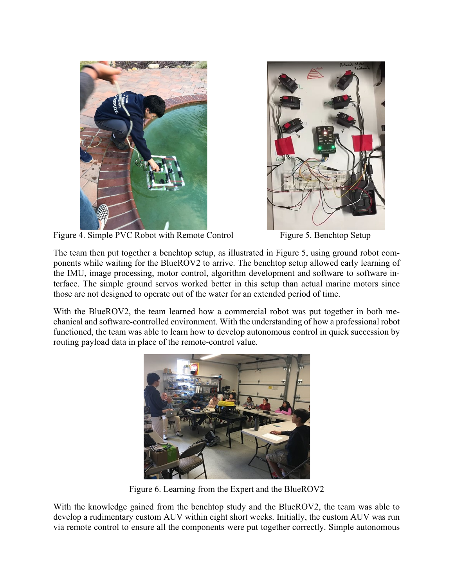



Figure 4. Simple PVC Robot with Remote Control Figure 5. Benchtop Setup

The team then put together a benchtop setup, as illustrated in Figure 5, using ground robot components while waiting for the BlueROV2 to arrive. The benchtop setup allowed early learning of the IMU, image processing, motor control, algorithm development and software to software interface. The simple ground servos worked better in this setup than actual marine motors since those are not designed to operate out of the water for an extended period of time.

With the BlueROV2, the team learned how a commercial robot was put together in both mechanical and software-controlled environment. With the understanding of how a professional robot functioned, the team was able to learn how to develop autonomous control in quick succession by routing payload data in place of the remote-control value.



Figure 6. Learning from the Expert and the BlueROV2

With the knowledge gained from the benchtop study and the BlueROV2, the team was able to develop a rudimentary custom AUV within eight short weeks. Initially, the custom AUV was run via remote control to ensure all the components were put together correctly. Simple autonomous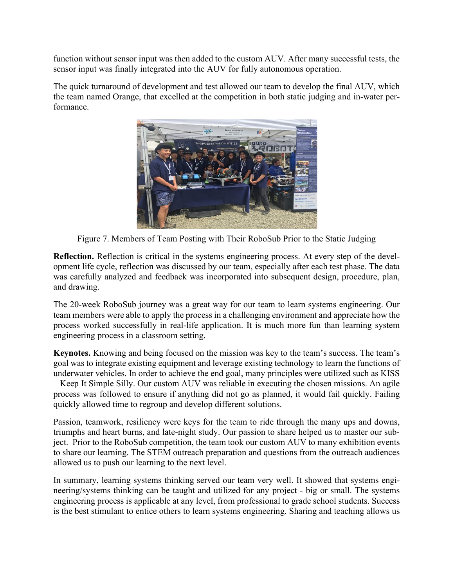function without sensor input was then added to the custom AUV. After many successful tests, the sensor input was finally integrated into the AUV for fully autonomous operation.

The quick turnaround of development and test allowed our team to develop the final AUV, which the team named Orange, that excelled at the competition in both static judging and in-water performance.



Figure 7. Members of Team Posting with Their RoboSub Prior to the Static Judging

Reflection. Reflection is critical in the systems engineering process. At every step of the development life cycle, reflection was discussed by our team, especially after each test phase. The data was carefully analyzed and feedback was incorporated into subsequent design, procedure, plan, and drawing.

The 20-week RoboSub journey was a great way for our team to learn systems engineering. Our team members were able to apply the process in a challenging environment and appreciate how the process worked successfully in real-life application. It is much more fun than learning system engineering process in a classroom setting.

Keynotes. Knowing and being focused on the mission was key to the team's success. The team's goal was to integrate existing equipment and leverage existing technology to learn the functions of underwater vehicles. In order to achieve the end goal, many principles were utilized such as KISS – Keep It Simple Silly. Our custom AUV was reliable in executing the chosen missions. An agile process was followed to ensure if anything did not go as planned, it would fail quickly. Failing quickly allowed time to regroup and develop different solutions.

Passion, teamwork, resiliency were keys for the team to ride through the many ups and downs, triumphs and heart burns, and late-night study. Our passion to share helped us to master our subject. Prior to the RoboSub competition, the team took our custom AUV to many exhibition events to share our learning. The STEM outreach preparation and questions from the outreach audiences allowed us to push our learning to the next level.

In summary, learning systems thinking served our team very well. It showed that systems engineering/systems thinking can be taught and utilized for any project - big or small. The systems engineering process is applicable at any level, from professional to grade school students. Success is the best stimulant to entice others to learn systems engineering. Sharing and teaching allows us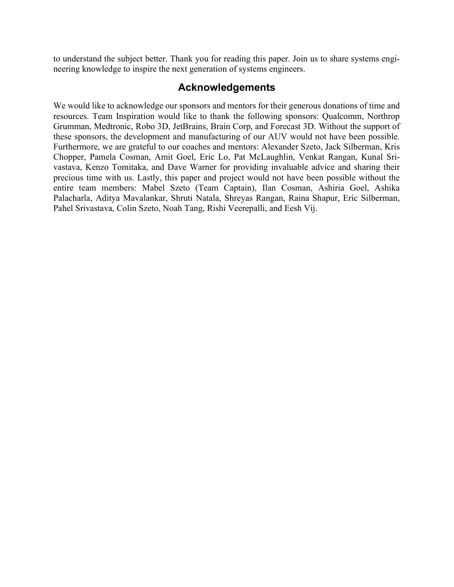to understand the subject better. Thank you for reading this paper. Join us to share systems engineering knowledge to inspire the next generation of systems engineers.

#### Acknowledgements

We would like to acknowledge our sponsors and mentors for their generous donations of time and resources. Team Inspiration would like to thank the following sponsors: Qualcomm, Northrop Grumman, Medtronic, Robo 3D, JetBrains, Brain Corp, and Forecast 3D. Without the support of these sponsors, the development and manufacturing of our AUV would not have been possible. Furthermore, we are grateful to our coaches and mentors: Alexander Szeto, Jack Silberman, Kris Chopper, Pamela Cosman, Amit Goel, Eric Lo, Pat McLaughlin, Venkat Rangan, Kunal Srivastava, Kenzo Tomitaka, and Dave Warner for providing invaluable advice and sharing their precious time with us. Lastly, this paper and project would not have been possible without the entire team members: Mabel Szeto (Team Captain), Ilan Cosman, Ashiria Goel, Ashika Palacharla, Aditya Mavalankar, Shruti Natala, Shreyas Rangan, Raina Shapur, Eric Silberman, Pahel Srivastava, Colin Szeto, Noah Tang, Rishi Veerepalli, and Eesh Vij.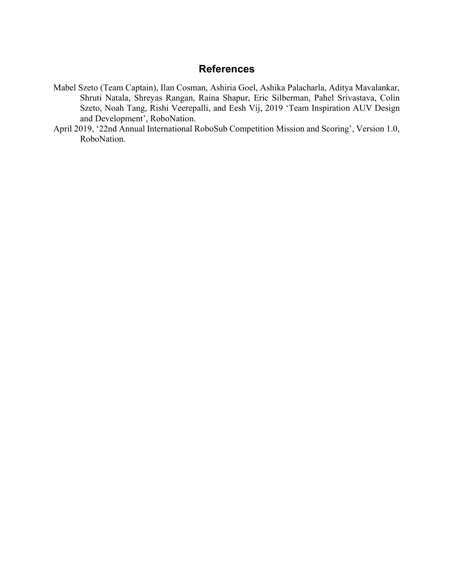#### **References**

- Mabel Szeto (Team Captain), Ilan Cosman, Ashiria Goel, Ashika Palacharla, Aditya Mavalankar, Shruti Natala, Shreyas Rangan, Raina Shapur, Eric Silberman, Pahel Srivastava, Colin Szeto, Noah Tang, Rishi Veerepalli, and Eesh Vij, 2019 'Team Inspiration AUV Design and Development', RoboNation.
- April 2019, '22nd Annual International RoboSub Competition Mission and Scoring', Version 1.0, RoboNation.